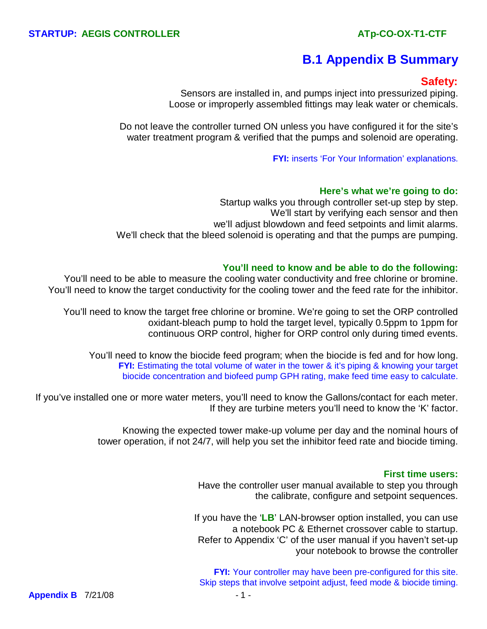# **B.1 Appendix B Summary**

## **Safety:**

Sensors are installed in, and pumps inject into pressurized piping. Loose or improperly assembled fittings may leak water or chemicals.

Do not leave the controller turned ON unless you have configured it for the site's water treatment program & verified that the pumps and solenoid are operating.

**FYI:** inserts 'For Your Information' explanations.

#### **Here's what we're going to do:**

Startup walks you through controller set-up step by step. We'll start by verifying each sensor and then we'll adjust blowdown and feed setpoints and limit alarms. We'll check that the bleed solenoid is operating and that the pumps are pumping.

#### **You'll need to know and be able to do the following:**

You'll need to be able to measure the cooling water conductivity and free chlorine or bromine. You'll need to know the target conductivity for the cooling tower and the feed rate for the inhibitor.

You'll need to know the target free chlorine or bromine. We're going to set the ORP controlled oxidant-bleach pump to hold the target level, typically 0.5ppm to 1ppm for continuous ORP control, higher for ORP control only during timed events.

You'll need to know the biocide feed program; when the biocide is fed and for how long. **FYI:** Estimating the total volume of water in the tower & it's piping & knowing your target biocide concentration and biofeed pump GPH rating, make feed time easy to calculate.

If you've installed one or more water meters, you'll need to know the Gallons/contact for each meter. If they are turbine meters you'll need to know the 'K' factor.

> Knowing the expected tower make-up volume per day and the nominal hours of tower operation, if not 24/7, will help you set the inhibitor feed rate and biocide timing.

#### **First time users:**

Have the controller user manual available to step you through the calibrate, configure and setpoint sequences.

If you have the '**LB**' LAN-browser option installed, you can use a notebook PC & Ethernet crossover cable to startup. Refer to Appendix 'C' of the user manual if you haven't set-up your notebook to browse the controller

**FYI:** Your controller may have been pre-configured for this site. Skip steps that involve setpoint adjust, feed mode & biocide timing.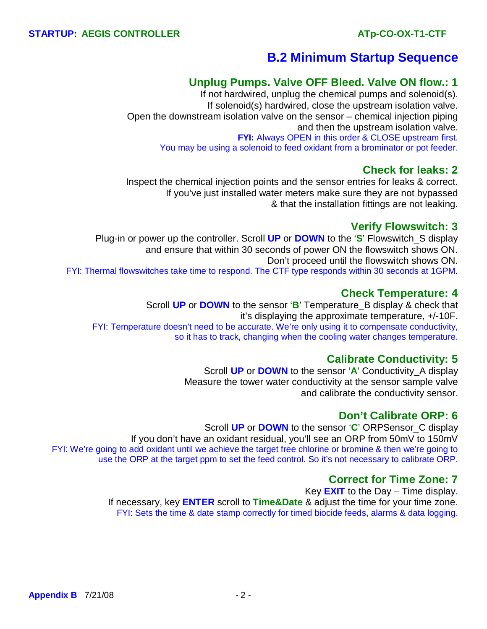# **B.2 Minimum Startup Sequence**

## **Unplug Pumps. Valve OFF Bleed. Valve ON flow.: 1**

 If not hardwired, unplug the chemical pumps and solenoid(s). If solenoid(s) hardwired, close the upstream isolation valve. Open the downstream isolation valve on the sensor – chemical injection piping and then the upstream isolation valve. **FYI:** Always OPEN in this order & CLOSE upstream first. You may be using a solenoid to feed oxidant from a brominator or pot feeder.

## **Check for leaks: 2**

 Inspect the chemical injection points and the sensor entries for leaks & correct. If you've just installed water meters make sure they are not bypassed & that the installation fittings are not leaking.

## **Verify Flowswitch: 3**

 Plug-in or power up the controller. Scroll **UP** or **DOWN** to the '**S**' Flowswitch\_S display and ensure that within 30 seconds of power ON the flowswitch shows ON. Don't proceed until the flowswitch shows ON. FYI: Thermal flowswitches take time to respond. The CTF type responds within 30 seconds at 1GPM.

## **Check Temperature: 4**

 Scroll **UP** or **DOWN** to the sensor '**B**' Temperature\_B display & check that it's displaying the approximate temperature, +/-10F. FYI: Temperature doesn't need to be accurate. We're only using it to compensate conductivity, so it has to track, changing when the cooling water changes temperature.

## **Calibrate Conductivity: 5**

Scroll **UP** or **DOWN** to the sensor '**A**' Conductivity\_A display Measure the tower water conductivity at the sensor sample valve and calibrate the conductivity sensor.

## **Don't Calibrate ORP: 6**

Scroll **UP** or **DOWN** to the sensor '**C**' ORPSensor\_C display If you don't have an oxidant residual, you'll see an ORP from 50mV to 150mV FYI: We're going to add oxidant until we achieve the target free chlorine or bromine & then we're going to use the ORP at the target ppm to set the feed control. So it's not necessary to calibrate ORP.

## **Correct for Time Zone: 7**

 Key **EXIT** to the Day – Time display. If necessary, key **ENTER** scroll to **Time&Date** & adjust the time for your time zone. FYI: Sets the time & date stamp correctly for timed biocide feeds, alarms & data logging.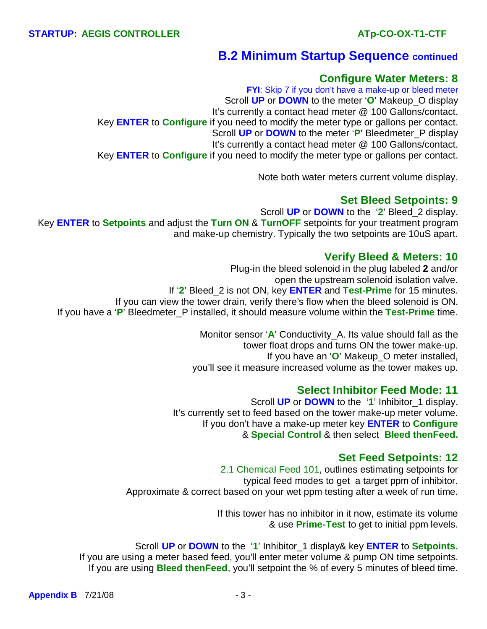## **B.2 Minimum Startup Sequence continued**

### **Configure Water Meters: 8**

**FYI:** Skip 7 if you don't have a make-up or bleed meter Scroll **UP** or **DOWN** to the meter '**O**' Makeup\_O display It's currently a contact head meter @ 100 Gallons/contact. Key **ENTER** to **Configure** if you need to modify the meter type or gallons per contact. Scroll **UP** or **DOWN** to the meter '**P**' Bleedmeter\_P display It's currently a contact head meter @ 100 Gallons/contact. Key **ENTER** to **Configure** if you need to modify the meter type or gallons per contact.

Note both water meters current volume display.

### **Set Bleed Setpoints: 9**

 Scroll **UP** or **DOWN** to the '**2**' Bleed\_2 display. Key **ENTER** to **Setpoints** and adjust the **Turn ON** & **TurnOFF** setpoints for your treatment program and make-up chemistry. Typically the two setpoints are 10uS apart.

### **Verify Bleed & Meters: 10**

Plug-in the bleed solenoid in the plug labeled **2** and/or open the upstream solenoid isolation valve. If '**2**' Bleed\_2 is not ON, key **ENTER** and **Test-Prime** for 15 minutes. If you can view the tower drain, verify there's flow when the bleed solenoid is ON. If you have a '**P**' Bleedmeter\_P installed, it should measure volume within the **Test-Prime** time.

> Monitor sensor '**A**' Conductivity\_A. Its value should fall as the tower float drops and turns ON the tower make-up. If you have an '**O**' Makeup\_O meter installed, you'll see it measure increased volume as the tower makes up.

### **Select Inhibitor Feed Mode: 11**

 Scroll **UP** or **DOWN** to the '**1**' Inhibitor\_1 display. It's currently set to feed based on the tower make-up meter volume. If you don't have a make-up meter key **ENTER** to **Configure** & **Special Control** & then select **Bleed thenFeed.**

## **Set Feed Setpoints: 12**

2.1 Chemical Feed 101, outlines estimating setpoints for typical feed modes to get a target ppm of inhibitor. Approximate & correct based on your wet ppm testing after a week of run time.

> If this tower has no inhibitor in it now, estimate its volume & use **Prime-Test** to get to initial ppm levels.

Scroll **UP** or **DOWN** to the '**1**' Inhibitor\_1 display& key **ENTER** to **Setpoints.** If you are using a meter based feed, you'll enter meter volume & pump ON time setpoints. If you are using **Bleed thenFeed**, you'll setpoint the % of every 5 minutes of bleed time.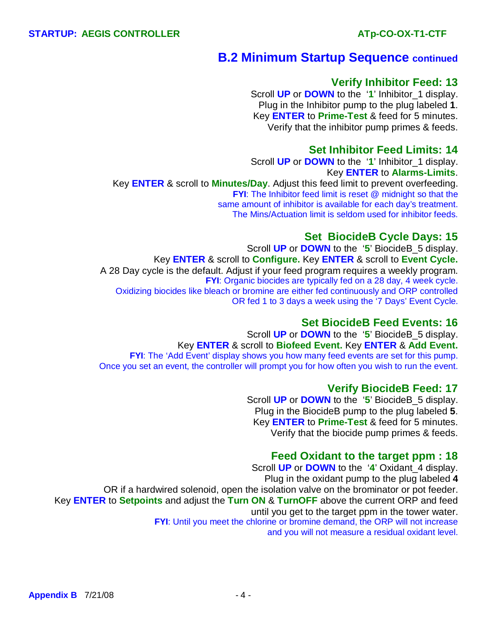## **B.2 Minimum Startup Sequence continued**

#### **Verify Inhibitor Feed: 13**

 Scroll **UP** or **DOWN** to the '**1**' Inhibitor\_1 display. Plug in the Inhibitor pump to the plug labeled **1**. Key **ENTER** to **Prime-Test** & feed for 5 minutes. Verify that the inhibitor pump primes & feeds.

### **Set Inhibitor Feed Limits: 14**

 Scroll **UP** or **DOWN** to the '**1**' Inhibitor\_1 display. Key **ENTER** to **Alarms-Limits**.

Key **ENTER** & scroll to **Minutes/Day**. Adjust this feed limit to prevent overfeeding. **FYI:** The Inhibitor feed limit is reset @ midnight so that the same amount of inhibitor is available for each day's treatment. The Mins/Actuation limit is seldom used for inhibitor feeds.

#### **Set BiocideB Cycle Days: 15**

 Scroll **UP** or **DOWN** to the '**5**' BiocideB\_5 display. Key **ENTER** & scroll to **Configure.** Key **ENTER** & scroll to **Event Cycle.** A 28 Day cycle is the default. Adjust if your feed program requires a weekly program. **FYI**: Organic biocides are typically fed on a 28 day, 4 week cycle. Oxidizing biocides like bleach or bromine are either fed continuously and ORP controlled OR fed 1 to 3 days a week using the '7 Days' Event Cycle.

#### **Set BiocideB Feed Events: 16**

 Scroll **UP** or **DOWN** to the '**5**' BiocideB\_5 display. Key **ENTER** & scroll to **Biofeed Event.** Key **ENTER** & **Add Event. FYI:** The 'Add Event' display shows you how many feed events are set for this pump. Once you set an event, the controller will prompt you for how often you wish to run the event.

#### **Verify BiocideB Feed: 17**

Scroll **UP** or **DOWN** to the '**5**' BiocideB\_5 display. Plug in the BiocideB pump to the plug labeled **5**. Key **ENTER** to **Prime-Test** & feed for 5 minutes. Verify that the biocide pump primes & feeds.

#### **Feed Oxidant to the target ppm : 18**

Scroll **UP** or **DOWN** to the '**4**' Oxidant\_4 display. Plug in the oxidant pump to the plug labeled **4** OR if a hardwired solenoid, open the isolation valve on the brominator or pot feeder. Key **ENTER** to **Setpoints** and adjust the **Turn ON** & **TurnOFF** above the current ORP and feed until you get to the target ppm in the tower water. **FYI**: Until you meet the chlorine or bromine demand, the ORP will not increase and you will not measure a residual oxidant level.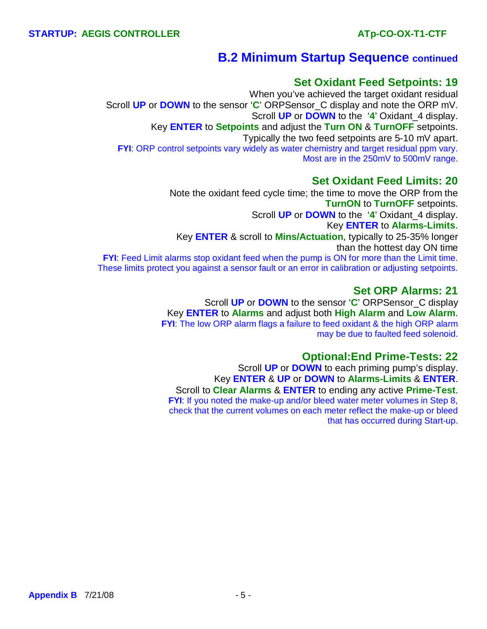# **B.2 Minimum Startup Sequence continued**

## **Set Oxidant Feed Setpoints: 19**

When you've achieved the target oxidant residual Scroll **UP** or **DOWN** to the sensor '**C**' ORPSensor\_C display and note the ORP mV. Scroll **UP** or **DOWN** to the '**4**' Oxidant\_4 display. Key **ENTER** to **Setpoints** and adjust the **Turn ON** & **TurnOFF** setpoints. Typically the two feed setpoints are 5-10 mV apart. **FYI:** ORP control setpoints vary widely as water chemistry and target residual ppm vary. Most are in the 250mV to 500mV range.

## **Set Oxidant Feed Limits: 20**

Note the oxidant feed cycle time; the time to move the ORP from the **TurnON** to **TurnOFF** setpoints. Scroll **UP** or **DOWN** to the '**4**' Oxidant\_4 display. Key **ENTER** to **Alarms-Limits**. Key **ENTER** & scroll to **Mins/Actuation**, typically to 25-35% longer than the hottest day ON time **FYI:** Feed Limit alarms stop oxidant feed when the pump is ON for more than the Limit time. These limits protect you against a sensor fault or an error in calibration or adjusting setpoints.

## **Set ORP Alarms: 21**

 Scroll **UP** or **DOWN** to the sensor '**C**' ORPSensor\_C display Key **ENTER** to **Alarms** and adjust both **High Alarm** and **Low Alarm**. **FYI**: The low ORP alarm flags a failure to feed oxidant & the high ORP alarm may be due to faulted feed solenoid.

## **Optional:End Prime-Tests: 22**

Scroll **UP** or **DOWN** to each priming pump's display. Key **ENTER** & **UP** or **DOWN** to **Alarms-Limits** & **ENTER**. Scroll to **Clear Alarms** & **ENTER** to ending any active **Prime-Test**. **FYI:** If you noted the make-up and/or bleed water meter volumes in Step 8, check that the current volumes on each meter reflect the make-up or bleed that has occurred during Start-up.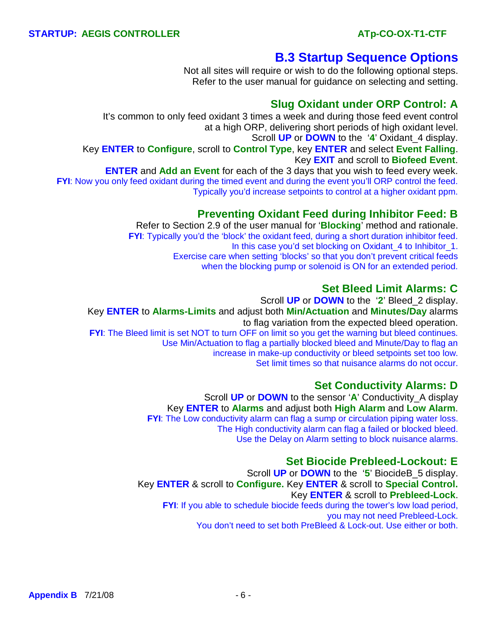# **B.3 Startup Sequence Options**

Not all sites will require or wish to do the following optional steps. Refer to the user manual for guidance on selecting and setting.

## **Slug Oxidant under ORP Control: A**

 It's common to only feed oxidant 3 times a week and during those feed event control at a high ORP, delivering short periods of high oxidant level. Scroll **UP** or **DOWN** to the '**4**' Oxidant\_4 display. Key **ENTER** to **Configure**, scroll to **Control Type**, key **ENTER** and select **Event Falling**. Key **EXIT** and scroll to **Biofeed Event**. **ENTER** and **Add an Event** for each of the 3 days that you wish to feed every week. **FYI:** Now you only feed oxidant during the timed event and during the event you'll ORP control the feed. Typically you'd increase setpoints to control at a higher oxidant ppm.

## **Preventing Oxidant Feed during Inhibitor Feed: B**

 Refer to Section 2.9 of the user manual for '**Blocking**' method and rationale. **FYI:** Typically you'd the 'block' the oxidant feed, during a short duration inhibitor feed. In this case you'd set blocking on Oxidant\_4 to Inhibitor\_1. Exercise care when setting 'blocks' so that you don't prevent critical feeds when the blocking pump or solenoid is ON for an extended period.

## **Set Bleed Limit Alarms: C**

 Scroll **UP** or **DOWN** to the '**2**' Bleed\_2 display. Key **ENTER** to **Alarms-Limits** and adjust both **Min/Actuation** and **Minutes/Day** alarms to flag variation from the expected bleed operation. **FYI:** The Bleed limit is set NOT to turn OFF on limit so you get the warning but bleed continues. Use Min/Actuation to flag a partially blocked bleed and Minute/Day to flag an increase in make-up conductivity or bleed setpoints set too low. Set limit times so that nuisance alarms do not occur.

## **Set Conductivity Alarms: D**

 Scroll **UP** or **DOWN** to the sensor '**A**' Conductivity\_A display Key **ENTER** to **Alarms** and adjust both **High Alarm** and **Low Alarm**. **FYI:** The Low conductivity alarm can flag a sump or circulation piping water loss. The High conductivity alarm can flag a failed or blocked bleed. Use the Delay on Alarm setting to block nuisance alarms.

## **Set Biocide Prebleed-Lockout: E**

 Scroll **UP** or **DOWN** to the '**5**' BiocideB\_5 display. Key **ENTER** & scroll to **Configure.** Key **ENTER** & scroll to **Special Control.** Key **ENTER** & scroll to **Prebleed-Lock**. **FYI:** If you able to schedule biocide feeds during the tower's low load period, you may not need Prebleed-Lock. You don't need to set both PreBleed & Lock-out. Use either or both.